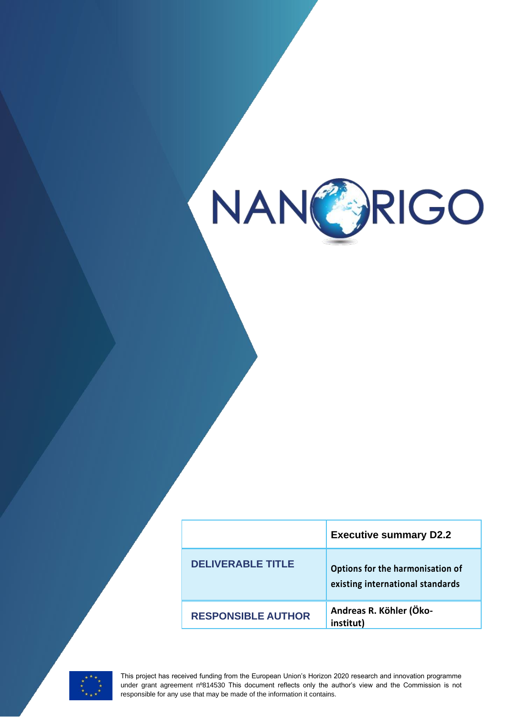

|                           | <b>Executive summary D2.2</b>                                        |
|---------------------------|----------------------------------------------------------------------|
| <b>DELIVERABLE TITLE</b>  | Options for the harmonisation of<br>existing international standards |
| <b>RESPONSIBLE AUTHOR</b> | Andreas R. Köhler (Öko-<br>institut)                                 |



**1** This project has received funding from the European Union's Horizon 2020 research and innovation programme under grant agreement nº814530 This document reflects only the author's view and the Commission is not responsible for any use that may be made of the information it contains.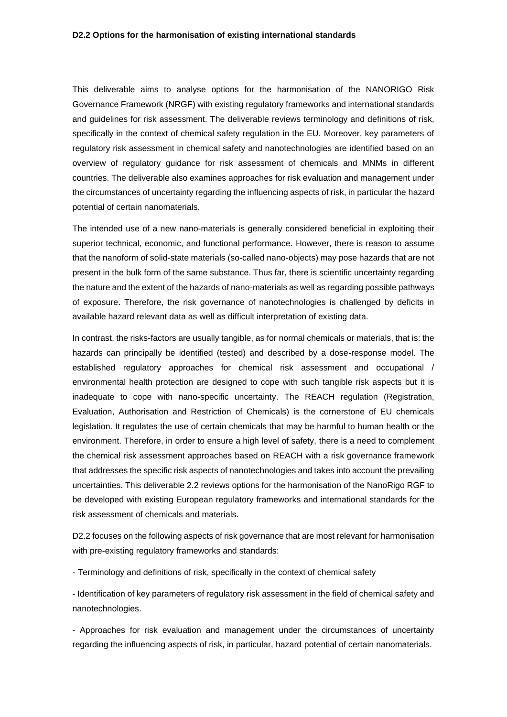This deliverable aims to analyse options for the harmonisation of the NANORIGO Risk Governance Framework (NRGF) with existing regulatory frameworks and international standards and guidelines for risk assessment. The deliverable reviews terminology and definitions of risk, specifically in the context of chemical safety regulation in the EU. Moreover, key parameters of regulatory risk assessment in chemical safety and nanotechnologies are identified based on an overview of regulatory guidance for risk assessment of chemicals and MNMs in different countries. The deliverable also examines approaches for risk evaluation and management under the circumstances of uncertainty regarding the influencing aspects of risk, in particular the hazard potential of certain nanomaterials.

The intended use of a new nano-materials is generally considered beneficial in exploiting their superior technical, economic, and functional performance. However, there is reason to assume that the nanoform of solid-state materials (so-called nano-objects) may pose hazards that are not present in the bulk form of the same substance. Thus far, there is scientific uncertainty regarding the nature and the extent of the hazards of nano-materials as well as regarding possible pathways of exposure. Therefore, the risk governance of nanotechnologies is challenged by deficits in available hazard relevant data as well as difficult interpretation of existing data.

In contrast, the risks-factors are usually tangible, as for normal chemicals or materials, that is: the hazards can principally be identified (tested) and described by a dose-response model. The established regulatory approaches for chemical risk assessment and occupational / environmental health protection are designed to cope with such tangible risk aspects but it is inadequate to cope with nano-specific uncertainty. The REACH regulation (Registration, Evaluation, Authorisation and Restriction of Chemicals) is the cornerstone of EU chemicals legislation. It regulates the use of certain chemicals that may be harmful to human health or the environment. Therefore, in order to ensure a high level of safety, there is a need to complement the chemical risk assessment approaches based on REACH with a risk governance framework that addresses the specific risk aspects of nanotechnologies and takes into account the prevailing uncertainties. This deliverable 2.2 reviews options for the harmonisation of the NanoRigo RGF to be developed with existing European regulatory frameworks and international standards for the risk assessment of chemicals and materials.

D2.2 focuses on the following aspects of risk governance that are most relevant for harmonisation with pre-existing regulatory frameworks and standards:

- Terminology and definitions of risk, specifically in the context of chemical safety

- Identification of key parameters of regulatory risk assessment in the field of chemical safety and nanotechnologies.

- Approaches for risk evaluation and management under the circumstances of uncertainty regarding the influencing aspects of risk, in particular, hazard potential of certain nanomaterials.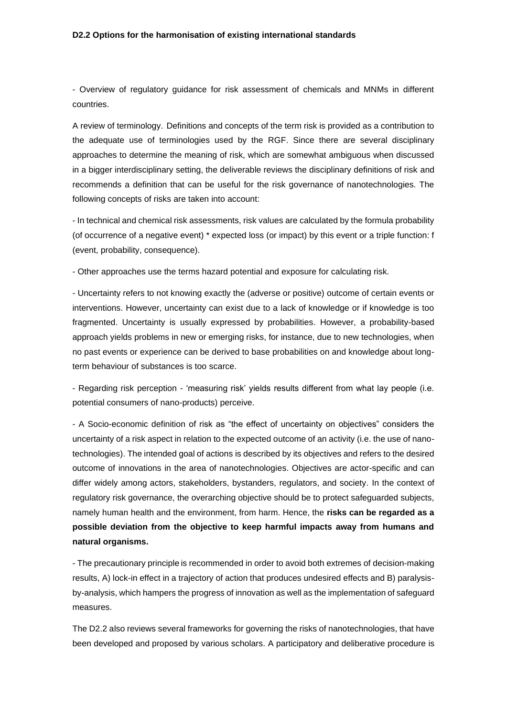## **D2.2 Options for the harmonisation of existing international standards**

- Overview of regulatory guidance for risk assessment of chemicals and MNMs in different countries.

A review of terminology. Definitions and concepts of the term risk is provided as a contribution to the adequate use of terminologies used by the RGF. Since there are several disciplinary approaches to determine the meaning of risk, which are somewhat ambiguous when discussed in a bigger interdisciplinary setting, the deliverable reviews the disciplinary definitions of risk and recommends a definition that can be useful for the risk governance of nanotechnologies. The following concepts of risks are taken into account:

- In technical and chemical risk assessments, risk values are calculated by the formula probability (of occurrence of a negative event) \* expected loss (or impact) by this event or a triple function: f (event, probability, consequence).

- Other approaches use the terms hazard potential and exposure for calculating risk.

- Uncertainty refers to not knowing exactly the (adverse or positive) outcome of certain events or interventions. However, uncertainty can exist due to a lack of knowledge or if knowledge is too fragmented. Uncertainty is usually expressed by probabilities. However, a probability-based approach yields problems in new or emerging risks, for instance, due to new technologies, when no past events or experience can be derived to base probabilities on and knowledge about longterm behaviour of substances is too scarce.

- Regarding risk perception - 'measuring risk' yields results different from what lay people (i.e. potential consumers of nano-products) perceive.

- A Socio-economic definition of risk as "the effect of uncertainty on objectives" considers the uncertainty of a risk aspect in relation to the expected outcome of an activity (i.e. the use of nanotechnologies). The intended goal of actions is described by its objectives and refers to the desired outcome of innovations in the area of nanotechnologies. Objectives are actor-specific and can differ widely among actors, stakeholders, bystanders, regulators, and society. In the context of regulatory risk governance, the overarching objective should be to protect safeguarded subjects, namely human health and the environment, from harm. Hence, the **risks can be regarded as a possible deviation from the objective to keep harmful impacts away from humans and natural organisms.**

- The precautionary principle is recommended in order to avoid both extremes of decision-making results, A) lock-in effect in a trajectory of action that produces undesired effects and B) paralysisby-analysis, which hampers the progress of innovation as well as the implementation of safeguard measures.

The D2.2 also reviews several frameworks for governing the risks of nanotechnologies, that have been developed and proposed by various scholars. A participatory and deliberative procedure is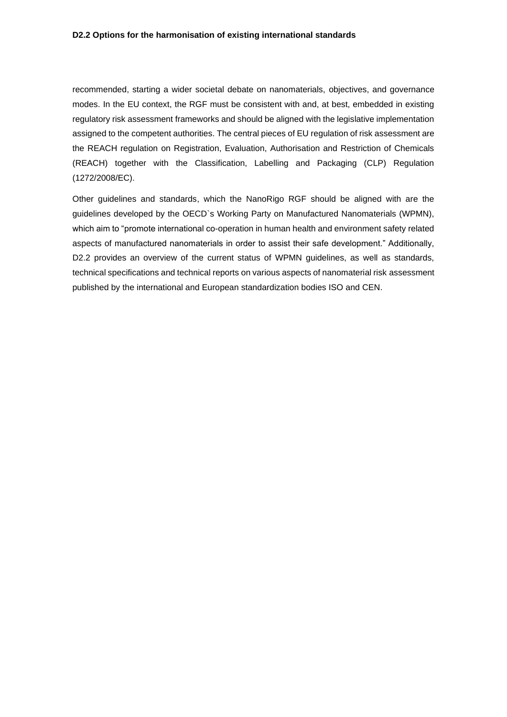recommended, starting a wider societal debate on nanomaterials, objectives, and governance modes. In the EU context, the RGF must be consistent with and, at best, embedded in existing regulatory risk assessment frameworks and should be aligned with the legislative implementation assigned to the competent authorities. The central pieces of EU regulation of risk assessment are the REACH regulation on Registration, Evaluation, Authorisation and Restriction of Chemicals (REACH) together with the Classification, Labelling and Packaging (CLP) Regulation (1272/2008/EC).

Other guidelines and standards, which the NanoRigo RGF should be aligned with are the guidelines developed by the OECD`s Working Party on Manufactured Nanomaterials (WPMN), which aim to "promote international co-operation in human health and environment safety related aspects of manufactured nanomaterials in order to assist their safe development." Additionally, D2.2 provides an overview of the current status of WPMN guidelines, as well as standards, technical specifications and technical reports on various aspects of nanomaterial risk assessment published by the international and European standardization bodies ISO and CEN.